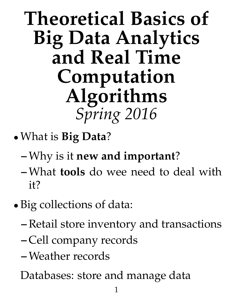# **Theoretical Basics of Big Data Analytics and Real Time Computation Algorithms** *Spring 2016*

- What is **Big Data**?
	- **–** Why is it **new and important**?
	- **–** What **tools** do wee need to deal with it?
- Big collections of data:
	- **–** Retail store inventory and transactions
	- **–** Cell company records
	- **–** Weather records
	- Databases: store and manage data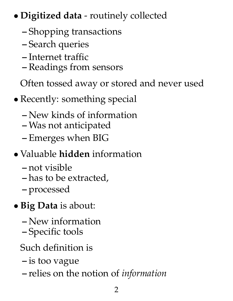#### • **Digitized data** - routinely collected

- **–** Shopping transactions
- **–** Search queries
- **–** Internet traffic
- **–** Readings from sensors

Often tossed away or stored and never used

- Recently: something special
	- **–** New kinds of information
	- **–** Was not anticipated
	- **–** Emerges when BIG
- Valuable **hidden** information
	- **–** not visible
	- **–** has to be extracted,
	- **–** processed
- **Big Data** is about:
	- **–** New information
	- **–** Specific tools
	- Such definition is
	- **–** is too vague
	- **–** relies on the notion of *information*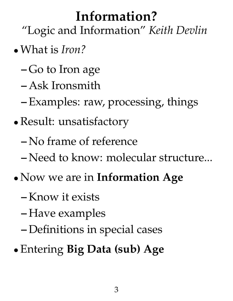# **Information?**

"Logic and Information" *Keith Devlin*

- What is *Iron?*
	- **–** Go to Iron age
	- **–** Ask Ironsmith
	- **–** Examples: raw, processing, things
- Result: unsatisfactory
	- **–** No frame of reference
	- **–** Need to know: molecular structure...
- Now we are in **Information Age**
	- **–** Know it exists
	- **–** Have examples
	- **–** Definitions in special cases
- Entering **Big Data (sub) Age**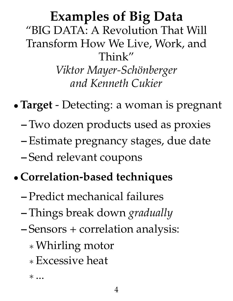### **Examples of Big Data** "BIG DATA: A Revolution That Will Transform How We Live, Work, and Think"

*Viktor Mayer-Sch¨onberger and Kenneth Cukier*

• **Target** - Detecting: a woman is pregnant

- **–** Two dozen products used as proxies
- **–** Estimate pregnancy stages, due date
- **–** Send relevant coupons
- **Correlation-based techniques**
	- **–** Predict mechanical failures
	- **–** Things break down *gradually*
	- **–** Sensors + correlation analysis:
		- ∗ Whirling motor
		- ∗ Excessive heat

∗ ...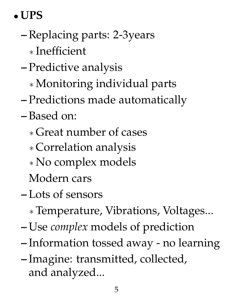

- **–** Replacing parts: 2-3years ∗ Inefficient
- **–** Predictive analysis
	- ∗ Monitoring individual parts
- **–** Predictions made automatically
- **–** Based on:
	- ∗ Great number of cases
	- ∗ Correlation analysis
	- ∗ No complex models
	- Modern cars
- **–** Lots of sensors
	- ∗ Temperature, Vibrations, Voltages...
- **–** Use *complex* models of prediction
- **–** Information tossed away no learning
- **–** Imagine: transmitted, collected, and analyzed...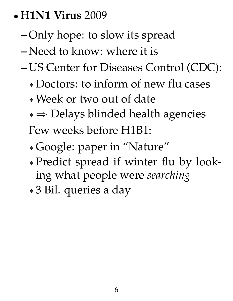- **H1N1 Virus** 2009
	- **–** Only hope: to slow its spread
	- **–** Need to know: where it is
	- **–** US Center for Diseases Control (CDC):
		- ∗ Doctors: to inform of new flu cases
		- ∗ Week or two out of date
		- ∗ ⇒ Delays blinded health agencies
		- Few weeks before H1B1:
		- ∗ Google: paper in "Nature"
		- ∗ Predict spread if winter flu by looking what people were *searching*
		- ∗ 3 Bil. queries a day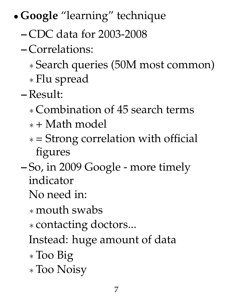- **Google** "learning" technique
	- **–** CDC data for 2003-2008
	- **–** Correlations:
		- ∗ Search queries (50M most common)
		- ∗ Flu spread
	- **–** Result:
		- ∗ Combination of 45 search terms
		- ∗ + Math model
		- ∗ = Strong correlation with official figures
	- **–** So, in 2009 Google more timely indicator

No need in:

- ∗ mouth swabs
- ∗ contacting doctors...
- Instead: huge amount of data
- ∗ Too Big
- ∗ Too Noisy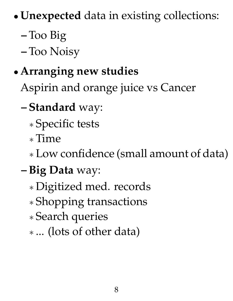• **Unexpected** data in existing collections:

- **–** Too Big
- **–** Too Noisy

#### • **Arranging new studies**

Aspirin and orange juice vs Cancer

### **– Standard** way:

- ∗ Specific tests
- ∗ Time
- ∗ Low confidence (small amount of data)

#### **– Big Data** way:

- ∗ Digitized med. records
- ∗ Shopping transactions
- ∗ Search queries
- ∗ ... (lots of other data)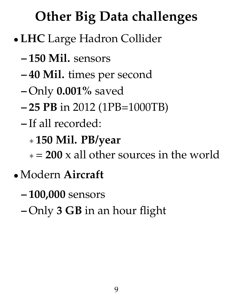# **Other Big Data challenges**

- **LHC** Large Hadron Collider
	- **150 Mil.** sensors
	- **40 Mil.** times per second
	- **–** Only **0.001%** saved
	- **25 PB** in 2012 (1PB=1000TB)
	- **–** If all recorded:
		- ∗ **150 Mil. PB/year**
		- ∗ = **200** x all other sources in the world
- Modern **Aircraft**
	- **100,000** sensors
	- **–** Only **3 GB** in an hour flight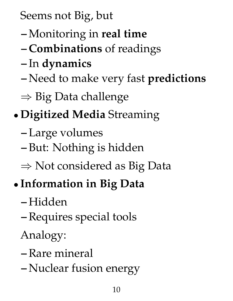Seems not Big, but

- **–** Monitoring in **real time**
- **Combinations** of readings
- **–** In **dynamics**
- **–** Need to make very fast **predictions**
- $\Rightarrow$  Big Data challenge
- **Digitized Media** Streaming
	- **–** Large volumes
	- **–** But: Nothing is hidden
	- ⇒ Not considered as Big Data
- **Information in Big Data**
	- **–** Hidden
	- **–** Requires special tools

Analogy:

- **–** Rare mineral
- **–** Nuclear fusion energy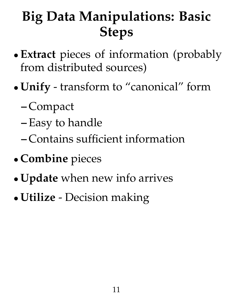# **Big Data Manipulations: Basic Steps**

- **Extract** pieces of information (probably from distributed sources)
- **Unify** transform to "canonical" form
	- **–** Compact
	- **–** Easy to handle
	- **–** Contains sufficient information
- **Combine** pieces
- **Update** when new info arrives
- **Utilize** Decision making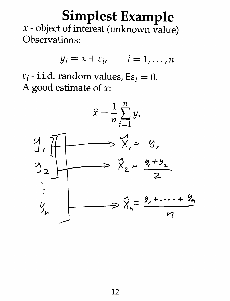### **Simplest Example**

 $x$  - object of interest (unknown value) Observations:

$$
y_i = x + \varepsilon_i, \qquad i = 1, \ldots, n
$$

 $\varepsilon_i$  - i.i.d. random values,  $E\varepsilon_i = 0$ . A good estimate of  $x$ :

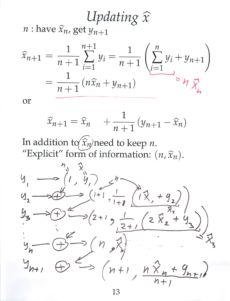Updating  $\widehat{x}$ *n* : have  $\hat{x}_n$ , get  $y_{n+1}$ 

$$
\widehat{x}_{n+1} = \frac{1}{n+1} \sum_{i=1}^{n+1} y_i = \frac{1}{n+1} \left( \sum_{i=1}^{n} y_i + y_{n+1} \right)
$$

$$
= \frac{1}{n+1} (n\widehat{x}_n + y_{n+1}) \qquad \qquad \ge \eta \sum_{i=1}^{n} y_i
$$

or

$$
\widehat{x}_{n+1} = \widehat{x}_n + \frac{1}{n+1} (y_{n+1} - \widehat{x}_n)
$$

In addition  $\mathfrak{t}(\widehat{x}_n)$  need to keep *n*. "Explicit" form of information:  $(n, \hat{x}_n)$ .

$$
y_{1} \rightarrow y_{2} \rightarrow y_{3} \rightarrow y_{4} \rightarrow y_{5} \rightarrow y_{6} \rightarrow y_{7} \rightarrow y_{8} \rightarrow y_{9} \rightarrow y_{1} \rightarrow y_{1} \rightarrow y_{1} \rightarrow y_{1} \rightarrow y_{1} \rightarrow y_{1} \rightarrow y_{1} \rightarrow y_{1} \rightarrow y_{1} \rightarrow y_{1} \rightarrow y_{1} \rightarrow y_{1} \rightarrow y_{1} \rightarrow y_{1} \rightarrow y_{1} \rightarrow y_{1} \rightarrow y_{1} \rightarrow y_{1} \rightarrow y_{1} \rightarrow y_{1} \rightarrow y_{1} \rightarrow y_{1} \rightarrow y_{1} \rightarrow y_{1} \rightarrow y_{1} \rightarrow y_{1} \rightarrow y_{1} \rightarrow y_{1} \rightarrow y_{1} \rightarrow y_{1} \rightarrow y_{1} \rightarrow y_{1} \rightarrow y_{1} \rightarrow y_{1} \rightarrow y_{1} \rightarrow y_{1} \rightarrow y_{1} \rightarrow y_{1} \rightarrow y_{1} \rightarrow y_{1} \rightarrow y_{1} \rightarrow y_{1} \rightarrow y_{1} \rightarrow y_{1} \rightarrow y_{1} \rightarrow y_{1} \rightarrow y_{1} \rightarrow y_{1} \rightarrow y_{1} \rightarrow y_{1} \rightarrow y_{1} \rightarrow y_{1} \rightarrow y_{1} \rightarrow y_{1} \rightarrow y_{1} \rightarrow y_{1} \rightarrow y_{1} \rightarrow y_{1} \rightarrow y_{1} \rightarrow y_{1} \rightarrow y_{1} \rightarrow y_{1} \rightarrow y_{1} \rightarrow y_{1} \rightarrow y_{1} \rightarrow y_{1} \rightarrow y_{1} \rightarrow y_{1} \rightarrow y_{1} \rightarrow y_{1} \rightarrow y_{1} \rightarrow y_{1} \rightarrow y_{1} \rightarrow y_{1} \rightarrow y_{1} \rightarrow y_{1} \rightarrow y_{1} \rightarrow y_{1} \rightarrow y_{1} \rightarrow y_{1} \rightarrow y_{1} \rightarrow y_{1} \rightarrow y_{1} \rightarrow y_{1} \rightarrow y_{1} \rightarrow y_{1} \rightarrow y_{1} \rightarrow y_{1} \rightarrow y_{1} \rightarrow y_{1} \rightarrow y_{1} \rightarrow y_{1} \rightarrow y_{1} \rightarrow y_{1} \rightarrow y_{1} \rightarrow y_{1} \rightarrow y_{1} \rightarrow y_{1} \rightarrow y_{1} \rightarrow y_{1} \rightarrow y_{1} \rightarrow y_{1} \rightarrow y_{1} \rightarrow y_{1} \rightarrow y_{1} \rightarrow y_{1} \rightarrow y_{1} \rightarrow y_{1} \rightarrow y_{1} \rightarrow y_{1} \rightarrow y_{1} \rightarrow y_{1} \rightarrow y_{1} \rightarrow y_{1} \rightarrow y_{1} \rightarrow y_{1} \rightarrow y_{1} \rightarrow y_{1
$$

13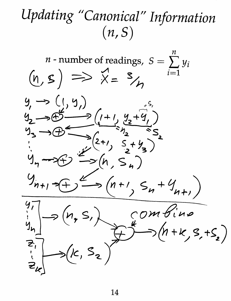Updating "Canonical" Information  $(n, S)$ 

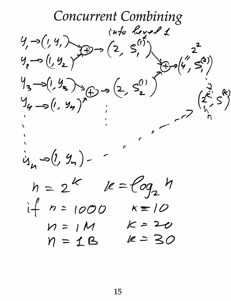Concurrent Combining into Revel 1  $y = (1, 9, )$  $S^{(15)}$  $\mathbf{r}$  $5^{(2)}$  $y, -\infty (1, y, 1)$  $S^{(1)}$  $y_{3} = (1, y_{3})$  $\left(2\right)$  $y_{4}\rightarrow$ (1,  $y_{\boldsymbol{\eta}}$  $\mathcal{L}(1, 9)$ ign  $h = 2^{k}$  $1/e =$  $Oq_{2}$  $i +$  $n = 1000$  $K \equiv /O$  $K = 20$  $M = M$  $k = 30$  $M = 1B$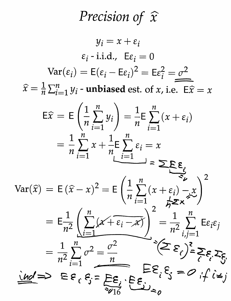# Precision of  $\hat{x}$

$$
y_i = x + \varepsilon_i
$$
  
\n
$$
\varepsilon_i - i.i.d., \quad \varepsilon \varepsilon_i = 0
$$
  
\n
$$
\operatorname{Var}(\varepsilon_i) = \varepsilon (\varepsilon_i - \varepsilon \varepsilon_i)^2 = \varepsilon \varepsilon_i^2 = \frac{\sigma^2}{n}
$$
  
\n
$$
\hat{x} = \frac{1}{n} \sum_{i=1}^n y_i - \text{unbiased est. of } x, \text{ i.e. } \overline{\varepsilon \varepsilon} = x
$$
  
\n
$$
\varepsilon \hat{x} = \varepsilon \left(\frac{1}{n} \sum_{i=1}^n y_i\right) = \frac{1}{n} \varepsilon \sum_{i=1}^n (x + \varepsilon_i)
$$
  
\n
$$
= \frac{1}{n} \sum_{i=1}^n x + \frac{1}{n} \varepsilon \sum_{i=1}^n \varepsilon_i = x
$$
  
\n
$$
\operatorname{Var}(\hat{x}) = \varepsilon (\hat{x} - x)^2 = \varepsilon \left(\frac{1}{n} \sum_{i=1}^n (x + \varepsilon_i) - x\right)^2
$$
  
\n
$$
= \varepsilon \frac{1}{n^2} \left(\sum_{i=1}^n (x + \varepsilon_i - x)\right)^2 = \frac{1}{n^2} \sum_{i,j=1}^n \varepsilon \varepsilon_i \varepsilon_j
$$
  
\n
$$
= \frac{1}{n^2} \sum_{i=1}^n \sigma^2 = \frac{\sigma^2}{n}
$$
  
\n
$$
\sum_{i=1}^n \varepsilon_i \varepsilon_i \varepsilon_i \varepsilon_j = \varepsilon \varepsilon_i \varepsilon_j
$$
  
\n
$$
\sum_{i=1}^n \varepsilon_i \varepsilon_i \varepsilon_j = \sigma \varepsilon_i \varepsilon_j
$$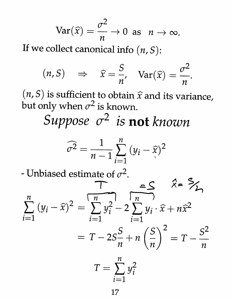$$
\text{Var}(\widehat{x}) = \frac{\sigma^2}{n} \to 0 \text{ as } n \to \infty.
$$

If we collect canonical info  $(n, S)$ :

$$
(n, S) \quad \Rightarrow \quad \widehat{x} = \frac{S}{n}, \quad \text{Var}(\widehat{x}) = \frac{\sigma^2}{n}.
$$

 $(n, S)$  is sufficient to obtain  $\hat{x}$  and its variance, but only when  $\sigma^2$  is known.

Suppose  $\sigma^2$  is not known

$$
\widehat{\sigma^2} = \frac{1}{n-1} \sum_{i=1}^n (y_i - \widehat{x})^2
$$

P

- Unbiased estimate of  $\sigma^2$ .

$$
\sum_{i=1}^{n} (y_i - \widehat{x})^2 = \sum_{i=1}^{n} y_i^2 - 2 \sum_{i=1}^{n} y_i \cdot \widehat{x} + n\widehat{x}^2
$$

$$
= T - 2S_n^S + n\left(\frac{S}{n}\right)^2 = T - \frac{S^2}{n}
$$

$$
T = \sum_{i=1}^{n} y_i^2
$$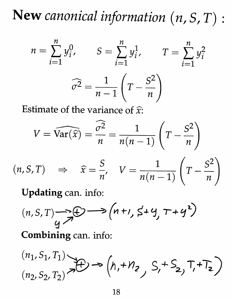### New canonical information  $(n, S, T)$ :

$$
n = \sum_{i=1}^{n} y_i^0, \qquad S = \sum_{i=1}^{n} y_i^1, \qquad T = \sum_{i=1}^{n} y_i^2
$$

$$
\widehat{\sigma^2} = \frac{1}{n-1} \left( T - \frac{S^2}{n} \right)
$$

Estimate of the variance of  $\hat{x}$ :

$$
V = \widehat{\text{Var}(\widehat{x})} = \frac{\widehat{\sigma^2}}{n} = \frac{1}{n(n-1)} \left( T - \frac{S^2}{n} \right)
$$

$$
(n, S, T) \Rightarrow \widehat{x} = \frac{S}{n'}, \quad V = \frac{1}{n(n-1)} \left( T - \frac{S^2}{n} \right)
$$

**Updating can. info:** 



Combining can. info:

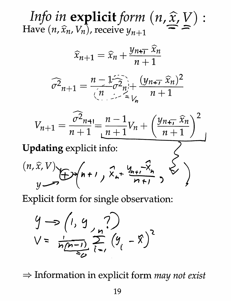*Info in explicit form*  $(n, \hat{x}, V)$ :<br>Have  $(n, \hat{x}_n, V_n)$ , receive  $y_{n+1}$ 

$$
\widehat{x}_{n+1} = \widehat{x}_n + \frac{y_{n+1}}{n+1} \widehat{x}_n
$$

$$
\widehat{\sigma^2}_{n+1} = \frac{n-1}{\binom{n}{n}} \widehat{\sigma^2}_{n} + \frac{(y_{n+1} \widehat{x}_n)^2}{n+1}
$$

$$
V_{n+1} = \frac{\widehat{\sigma^2}_{n+1}}{n+1} = \frac{n-1}{n+1}V_n + \left(\frac{y_{n+1}}{n+1}\right)^2
$$

**Updating explicit info:** 

$$
(n, \hat{x}, V) \sum_{y \to 0} \left( n + 1, \hat{x}_{n} + \frac{y_{n+1} - \hat{x}_{n}}{n+1} \right)
$$

Explicit form for single observation:

$$
y \rightarrow (1, y, 7)
$$
  

$$
V = \frac{1}{n(n-1)} \sum_{i=1}^{n} (y_i - \overline{x})^2
$$

 $\Rightarrow$  Information in explicit form *may not exist*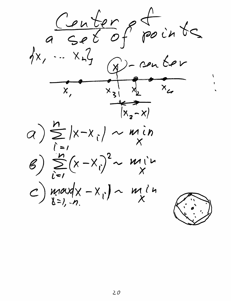Conter et inte  $x_{12}$  $\oint x$ , ...  $X_{2}$  $X_{2}^{\prime}$  $x,$  $\overline{x}$  -  $x$ )  $\alpha$ ) $\sum_{i=1}^{n} |x-x_{i}| \sim min$  $g = \sum_{i=1}^{n} (x - x_i)^2$   $\sim m_i$  $C\Big(\bigwedge_{\lambda=1}^{n\textrm{max}}|x-x|,1\Big)\sim m\Big)^{n\times n}$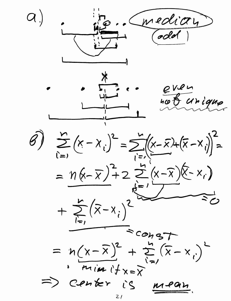